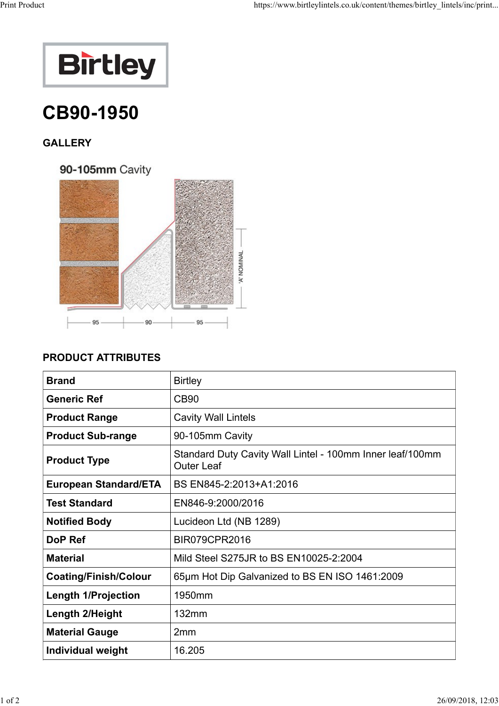

## CB90-1950

## **GALLERY**

90-105mm Cavity



## PRODUCT ATTRIBUTES

| <b>Brand</b>                 | <b>Birtley</b>                                                                 |
|------------------------------|--------------------------------------------------------------------------------|
| <b>Generic Ref</b>           | <b>CB90</b>                                                                    |
| <b>Product Range</b>         | <b>Cavity Wall Lintels</b>                                                     |
| <b>Product Sub-range</b>     | 90-105mm Cavity                                                                |
| <b>Product Type</b>          | Standard Duty Cavity Wall Lintel - 100mm Inner leaf/100mm<br><b>Outer Leaf</b> |
| <b>European Standard/ETA</b> | BS EN845-2:2013+A1:2016                                                        |
| <b>Test Standard</b>         | EN846-9:2000/2016                                                              |
| <b>Notified Body</b>         | Lucideon Ltd (NB 1289)                                                         |
| DoP Ref                      | <b>BIR079CPR2016</b>                                                           |
| <b>Material</b>              | Mild Steel S275JR to BS EN10025-2:2004                                         |
| <b>Coating/Finish/Colour</b> | 65µm Hot Dip Galvanized to BS EN ISO 1461:2009                                 |
| <b>Length 1/Projection</b>   | 1950mm                                                                         |
| Length 2/Height              | 132mm                                                                          |
| <b>Material Gauge</b>        | 2mm                                                                            |
| <b>Individual weight</b>     | 16.205                                                                         |
|                              |                                                                                |